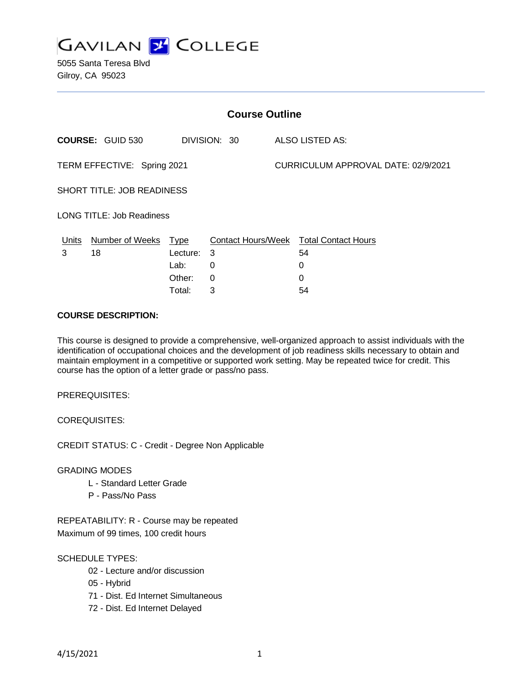

5055 Santa Teresa Blvd Gilroy, CA 95023

| <b>Course Outline</b>       |                                         |          |     |                                     |                                        |
|-----------------------------|-----------------------------------------|----------|-----|-------------------------------------|----------------------------------------|
|                             | <b>COURSE: GUID 530</b><br>DIVISION: 30 |          |     | ALSO LISTED AS:                     |                                        |
| TERM EFFECTIVE: Spring 2021 |                                         |          |     | CURRICULUM APPROVAL DATE: 02/9/2021 |                                        |
| SHORT TITLE: JOB READINESS  |                                         |          |     |                                     |                                        |
| LONG TITLE: Job Readiness   |                                         |          |     |                                     |                                        |
| Units                       | Number of Weeks Type                    |          |     |                                     | Contact Hours/Week Total Contact Hours |
| 3                           | 18                                      | Lecture: | - 3 |                                     | 54                                     |
|                             |                                         | Lab:     | 0   |                                     | 0                                      |
|                             |                                         | Other:   | 0   |                                     | 0                                      |
|                             |                                         | Total:   | 3   |                                     | 54                                     |

## **COURSE DESCRIPTION:**

This course is designed to provide a comprehensive, well-organized approach to assist individuals with the identification of occupational choices and the development of job readiness skills necessary to obtain and maintain employment in a competitive or supported work setting. May be repeated twice for credit. This course has the option of a letter grade or pass/no pass.

PREREQUISITES:

COREQUISITES:

CREDIT STATUS: C - Credit - Degree Non Applicable

GRADING MODES

- L Standard Letter Grade
- P Pass/No Pass

REPEATABILITY: R - Course may be repeated Maximum of 99 times, 100 credit hours

# SCHEDULE TYPES:

- 02 Lecture and/or discussion
- 05 Hybrid
- 71 Dist. Ed Internet Simultaneous
- 72 Dist. Ed Internet Delayed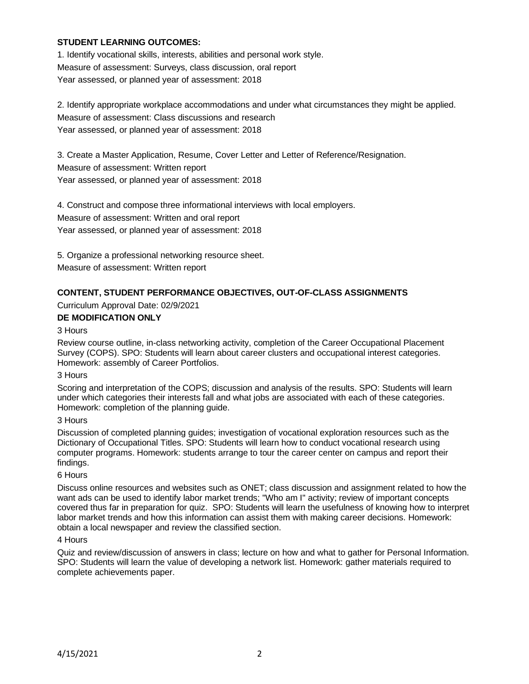# **STUDENT LEARNING OUTCOMES:**

1. Identify vocational skills, interests, abilities and personal work style. Measure of assessment: Surveys, class discussion, oral report Year assessed, or planned year of assessment: 2018

2. Identify appropriate workplace accommodations and under what circumstances they might be applied. Measure of assessment: Class discussions and research Year assessed, or planned year of assessment: 2018

3. Create a Master Application, Resume, Cover Letter and Letter of Reference/Resignation. Measure of assessment: Written report Year assessed, or planned year of assessment: 2018

4. Construct and compose three informational interviews with local employers. Measure of assessment: Written and oral report Year assessed, or planned year of assessment: 2018

5. Organize a professional networking resource sheet. Measure of assessment: Written report

# **CONTENT, STUDENT PERFORMANCE OBJECTIVES, OUT-OF-CLASS ASSIGNMENTS**

Curriculum Approval Date: 02/9/2021

# **DE MODIFICATION ONLY**

#### 3 Hours

Review course outline, in-class networking activity, completion of the Career Occupational Placement Survey (COPS). SPO: Students will learn about career clusters and occupational interest categories. Homework: assembly of Career Portfolios.

### 3 Hours

Scoring and interpretation of the COPS; discussion and analysis of the results. SPO: Students will learn under which categories their interests fall and what jobs are associated with each of these categories. Homework: completion of the planning guide.

#### 3 Hours

Discussion of completed planning guides; investigation of vocational exploration resources such as the Dictionary of Occupational Titles. SPO: Students will learn how to conduct vocational research using computer programs. Homework: students arrange to tour the career center on campus and report their findings.

#### 6 Hours

Discuss online resources and websites such as ONET; class discussion and assignment related to how the want ads can be used to identify labor market trends; "Who am I" activity; review of important concepts covered thus far in preparation for quiz. SPO: Students will learn the usefulness of knowing how to interpret labor market trends and how this information can assist them with making career decisions. Homework: obtain a local newspaper and review the classified section.

#### 4 Hours

Quiz and review/discussion of answers in class; lecture on how and what to gather for Personal Information. SPO: Students will learn the value of developing a network list. Homework: gather materials required to complete achievements paper.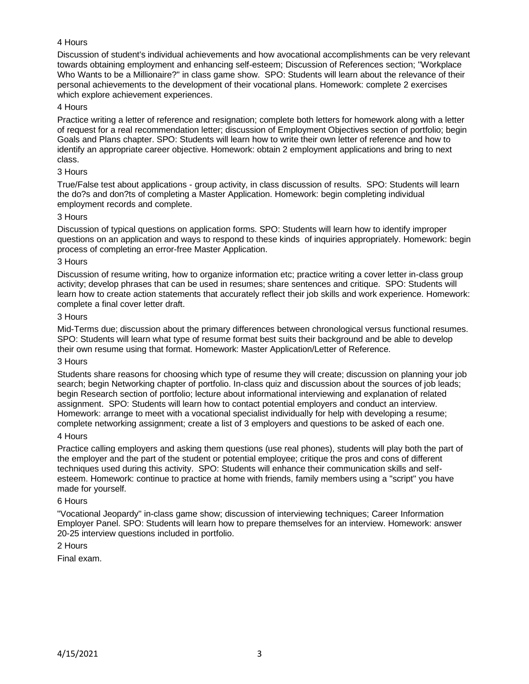# 4 Hours

Discussion of student's individual achievements and how avocational accomplishments can be very relevant towards obtaining employment and enhancing self-esteem; Discussion of References section; "Workplace Who Wants to be a Millionaire?" in class game show. SPO: Students will learn about the relevance of their personal achievements to the development of their vocational plans. Homework: complete 2 exercises which explore achievement experiences.

## 4 Hours

Practice writing a letter of reference and resignation; complete both letters for homework along with a letter of request for a real recommendation letter; discussion of Employment Objectives section of portfolio; begin Goals and Plans chapter. SPO: Students will learn how to write their own letter of reference and how to identify an appropriate career objective. Homework: obtain 2 employment applications and bring to next class.

# 3 Hours

True/False test about applications - group activity, in class discussion of results. SPO: Students will learn the do?s and don?ts of completing a Master Application. Homework: begin completing individual employment records and complete.

## 3 Hours

Discussion of typical questions on application forms. SPO: Students will learn how to identify improper questions on an application and ways to respond to these kinds of inquiries appropriately. Homework: begin process of completing an error-free Master Application.

## 3 Hours

Discussion of resume writing, how to organize information etc; practice writing a cover letter in-class group activity; develop phrases that can be used in resumes; share sentences and critique. SPO: Students will learn how to create action statements that accurately reflect their job skills and work experience. Homework: complete a final cover letter draft.

## 3 Hours

Mid-Terms due; discussion about the primary differences between chronological versus functional resumes. SPO: Students will learn what type of resume format best suits their background and be able to develop their own resume using that format. Homework: Master Application/Letter of Reference.

#### 3 Hours

Students share reasons for choosing which type of resume they will create; discussion on planning your job search; begin Networking chapter of portfolio. In-class quiz and discussion about the sources of job leads; begin Research section of portfolio; lecture about informational interviewing and explanation of related assignment. SPO: Students will learn how to contact potential employers and conduct an interview. Homework: arrange to meet with a vocational specialist individually for help with developing a resume; complete networking assignment; create a list of 3 employers and questions to be asked of each one.

#### 4 Hours

Practice calling employers and asking them questions (use real phones), students will play both the part of the employer and the part of the student or potential employee; critique the pros and cons of different techniques used during this activity. SPO: Students will enhance their communication skills and selfesteem. Homework: continue to practice at home with friends, family members using a "script" you have made for yourself.

### 6 Hours

"Vocational Jeopardy" in-class game show; discussion of interviewing techniques; Career Information Employer Panel. SPO: Students will learn how to prepare themselves for an interview. Homework: answer 20-25 interview questions included in portfolio.

# 2 Hours

Final exam.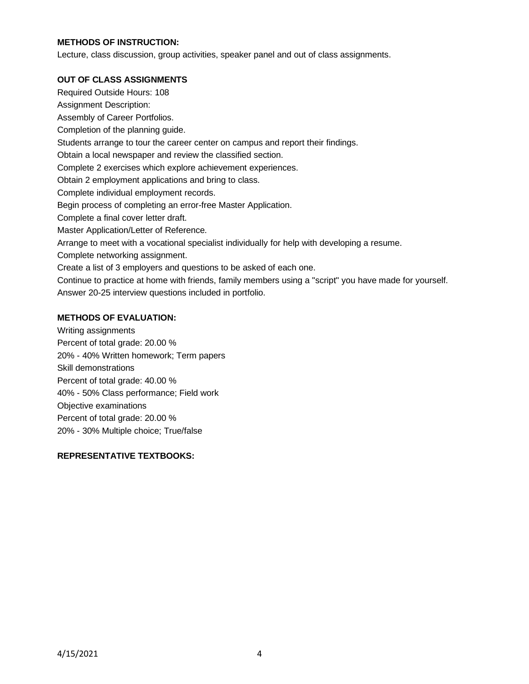# **METHODS OF INSTRUCTION:**

Lecture, class discussion, group activities, speaker panel and out of class assignments.

# **OUT OF CLASS ASSIGNMENTS**

Required Outside Hours: 108 Assignment Description: Assembly of Career Portfolios. Completion of the planning guide. Students arrange to tour the career center on campus and report their findings. Obtain a local newspaper and review the classified section. Complete 2 exercises which explore achievement experiences. Obtain 2 employment applications and bring to class. Complete individual employment records. Begin process of completing an error-free Master Application. Complete a final cover letter draft. Master Application/Letter of Reference. Arrange to meet with a vocational specialist individually for help with developing a resume. Complete networking assignment. Create a list of 3 employers and questions to be asked of each one. Continue to practice at home with friends, family members using a "script" you have made for yourself. Answer 20-25 interview questions included in portfolio.

# **METHODS OF EVALUATION:**

Writing assignments Percent of total grade: 20.00 % 20% - 40% Written homework; Term papers Skill demonstrations Percent of total grade: 40.00 % 40% - 50% Class performance; Field work Objective examinations Percent of total grade: 20.00 % 20% - 30% Multiple choice; True/false

# **REPRESENTATIVE TEXTBOOKS:**